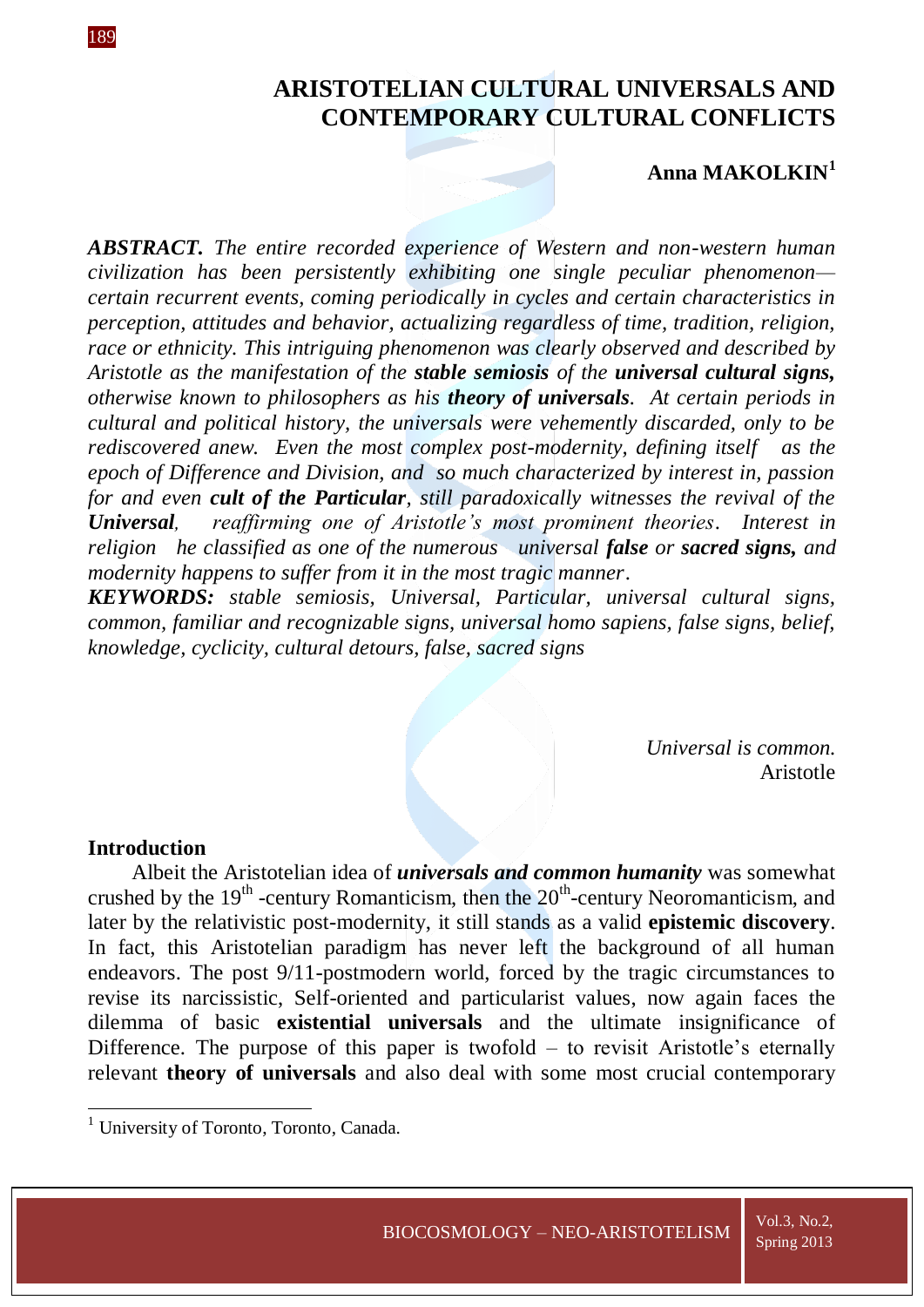# **ARISTOTELIAN CULTURAL UNIVERSALS AND CONTEMPORARY CULTURAL CONFLICTS**

# **Anna MAKOLKIN<sup>1</sup>**

*ABSTRACT. The entire recorded experience of Western and non-western human civilization has been persistently exhibiting one single peculiar phenomenon certain recurrent events, coming periodically in cycles and certain characteristics in perception, attitudes and behavior, actualizing regardless of time, tradition, religion, race or ethnicity. This intriguing phenomenon was clearly observed and described by Aristotle as the manifestation of the stable semiosis of the universal cultural signs, otherwise known to philosophers as his theory of universals. At certain periods in cultural and political history, the universals were vehemently discarded, only to be rediscovered anew. Even the most complex post-modernity, defining itself as the epoch of Difference and Division, and so much characterized by interest in, passion for and even cult of the Particular, still paradoxically witnesses the revival of the Universal, reaffirming one of Aristotle's most prominent theories*. *Interest in religion he classified as one of the numerous universal false or sacred signs, and modernity happens to suffer from it in the most tragic manner*.

*KEYWORDS: stable semiosis, Universal, Particular, universal cultural signs, common, familiar and recognizable signs, universal homo sapiens, false signs, belief, knowledge, cyclicity, cultural detours, false, sacred signs*

> *Universal is common.* Aristotle

### **Introduction**

**.** 

Albeit the Aristotelian idea of *universals and common humanity* was somewhat crushed by the  $19<sup>th</sup>$ -century Romanticism, then the  $20<sup>th</sup>$ -century Neoromanticism, and later by the relativistic post-modernity, it still stands as a valid **epistemic discovery**. In fact, this Aristotelian paradigm has never left the background of all human endeavors. The post 9/11-postmodern world, forced by the tragic circumstances to revise its narcissistic, Self-oriented and particularist values, now again faces the dilemma of basic **existential universals** and the ultimate insignificance of Difference. The purpose of this paper is twofold – to revisit Aristotle's eternally relevant **theory of universals** and also deal with some most crucial contemporary

<sup>&</sup>lt;sup>1</sup> University of Toronto, Toronto, Canada.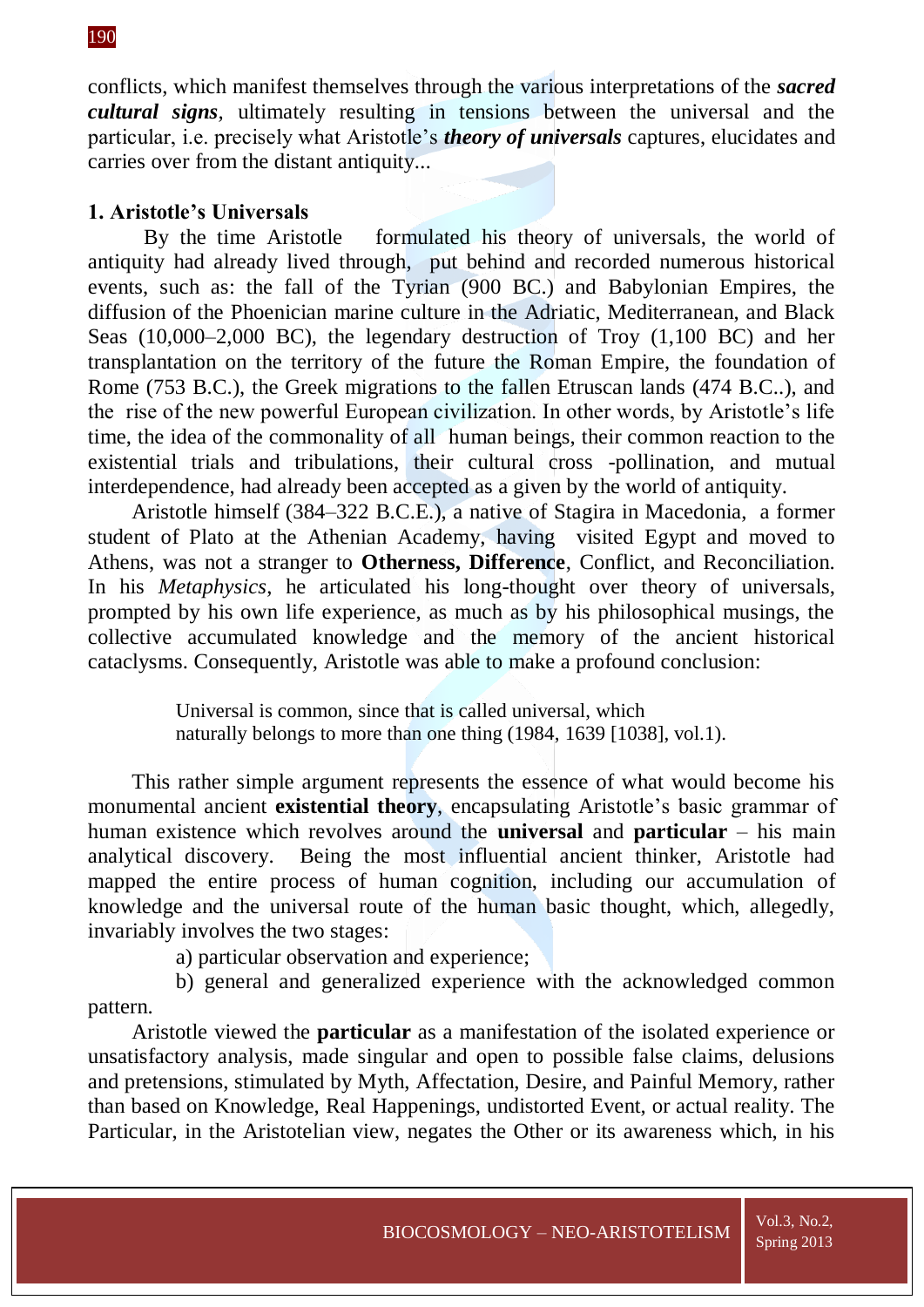conflicts, which manifest themselves through the various interpretations of the *sacred cultural signs,* ultimately resulting in tensions between the universal and the particular, i.e. precisely what Aristotle's *theory of universals* captures, elucidates and carries over from the distant antiquity.*..*

## **1. Aristotle's Universals**

By the time Aristotle formulated his theory of universals, the world of antiquity had already lived through, put behind and recorded numerous historical events, such as: the fall of the Tyrian (900 BC.) and Babylonian Empires, the diffusion of the Phoenician marine culture in the Adriatic, Mediterranean, and Black Seas (10,000–2,000 BC), the legendary destruction of Troy (1,100 BC) and her transplantation on the territory of the future the Roman Empire, the foundation of Rome (753 B.C.), the Greek migrations to the fallen Etruscan lands (474 B.C..), and the rise of the new powerful European civilization. In other words, by Aristotle's life time, the idea of the commonality of all human beings, their common reaction to the existential trials and tribulations, their cultural cross -pollination, and mutual interdependence, had already been accepted as a given by the world of antiquity.

Aristotle himself (384–322 B.C.E.), a native of Stagira in Macedonia, a former student of Plato at the Athenian Academy, having visited Egypt and moved to Athens, was not a stranger to **Otherness, Difference**, Conflict, and Reconciliation. In his *Metaphysics*, he articulated his long-thought over theory of universals, prompted by his own life experience, as much as by his philosophical musings, the collective accumulated knowledge and the memory of the ancient historical cataclysms. Consequently, Aristotle was able to make a profound conclusion:

> Universal is common, since that is called universal, which naturally belongs to more than one thing (1984, 1639 [1038], vol.1).

This rather simple argument represents the essence of what would become his monumental ancient **existential theory**, encapsulating Aristotle's basic grammar of human existence which revolves around the **universal** and **particular** – his main analytical discovery. Being the most influential ancient thinker, Aristotle had mapped the entire process of human cognition, including our accumulation of knowledge and the universal route of the human basic thought, which, allegedly, invariably involves the two stages:

a) particular observation and experience;

b) general and generalized experience with the acknowledged common pattern.

Aristotle viewed the **particular** as a manifestation of the isolated experience or unsatisfactory analysis, made singular and open to possible false claims, delusions and pretensions, stimulated by Myth, Affectation, Desire, and Painful Memory, rather than based on Knowledge, Real Happenings, undistorted Event, or actual reality. The Particular, in the Aristotelian view, negates the Other or its awareness which, in his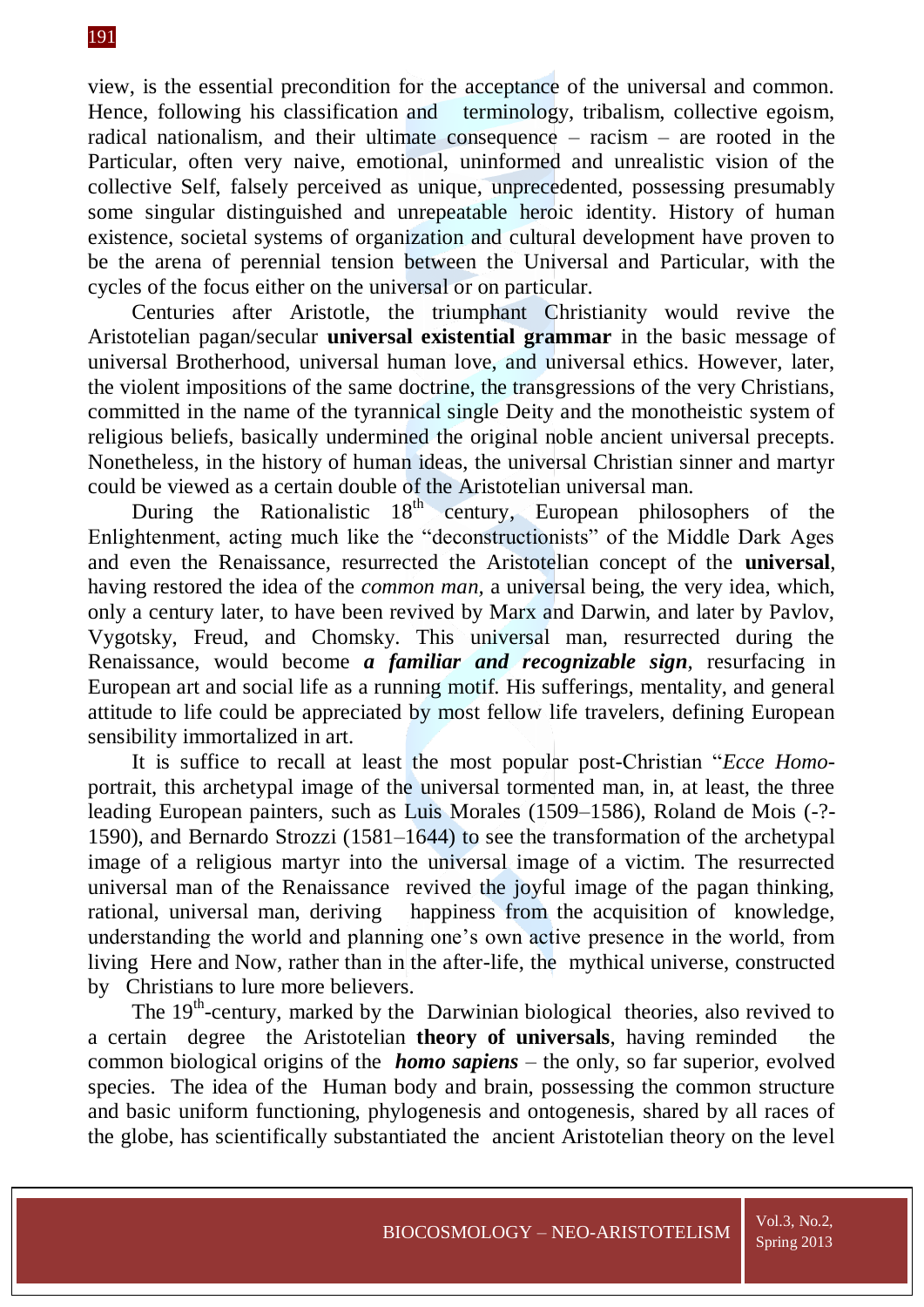### 191

view, is the essential precondition for the acceptance of the universal and common. Hence, following his classification and terminology, tribalism, collective egoism, radical nationalism, and their ultimate consequence – racism – are rooted in the Particular, often very naive, emotional, uninformed and unrealistic vision of the collective Self, falsely perceived as unique, unprecedented, possessing presumably some singular distinguished and unrepeatable heroic identity. History of human existence, societal systems of organization and cultural development have proven to be the arena of perennial tension between the Universal and Particular, with the cycles of the focus either on the universal or on particular.

Centuries after Aristotle, the triumphant Christianity would revive the Aristotelian pagan/secular **universal existential grammar** in the basic message of universal Brotherhood, universal human love, and universal ethics. However, later, the violent impositions of the same doctrine, the transgressions of the very Christians, committed in the name of the tyrannical single Deity and the monotheistic system of religious beliefs, basically undermined the original noble ancient universal precepts. Nonetheless, in the history of human ideas, the universal Christian sinner and martyr could be viewed as a certain double of the Aristotelian universal man.

During the Rationalistic 18<sup>th</sup> century, European philosophers of the Enlightenment, acting much like the "deconstructionists" of the Middle Dark Ages and even the Renaissance, resurrected the Aristotelian concept of the **universal**, having restored the idea of the *common man,* a universal being, the very idea, which, only a century later, to have been revived by Marx and Darwin, and later by Pavlov, Vygotsky, Freud, and Chomsky. This universal man, resurrected during the Renaissance, would become *a familiar and recognizable sign,* resurfacing in European art and social life as a running motif. His sufferings, mentality, and general attitude to life could be appreciated by most fellow life travelers, defining European sensibility immortalized in art.

It is suffice to recall at least the most popular post-Christian "*Ecce Homo*portrait, this archetypal image of the universal tormented man, in, at least, the three leading European painters, such as Luis Morales (1509–1586), Roland de Mois (-?- 1590), and Bernardo Strozzi (1581–1644) to see the transformation of the archetypal image of a religious martyr into the universal image of a victim. The resurrected universal man of the Renaissance revived the joyful image of the pagan thinking, rational, universal man, deriving happiness from the acquisition of knowledge, understanding the world and planning one's own active presence in the world, from living Here and Now, rather than in the after-life, the mythical universe, constructed by Christians to lure more believers.

The  $19<sup>th</sup>$ -century, marked by the Darwinian biological theories, also revived to a certain degree the Aristotelian **theory of universals**, having reminded the common biological origins of the *homo sapiens* – the only, so far superior, evolved species. The idea of the Human body and brain, possessing the common structure and basic uniform functioning, phylogenesis and ontogenesis, shared by all races of the globe, has scientifically substantiated the ancient Aristotelian theory on the level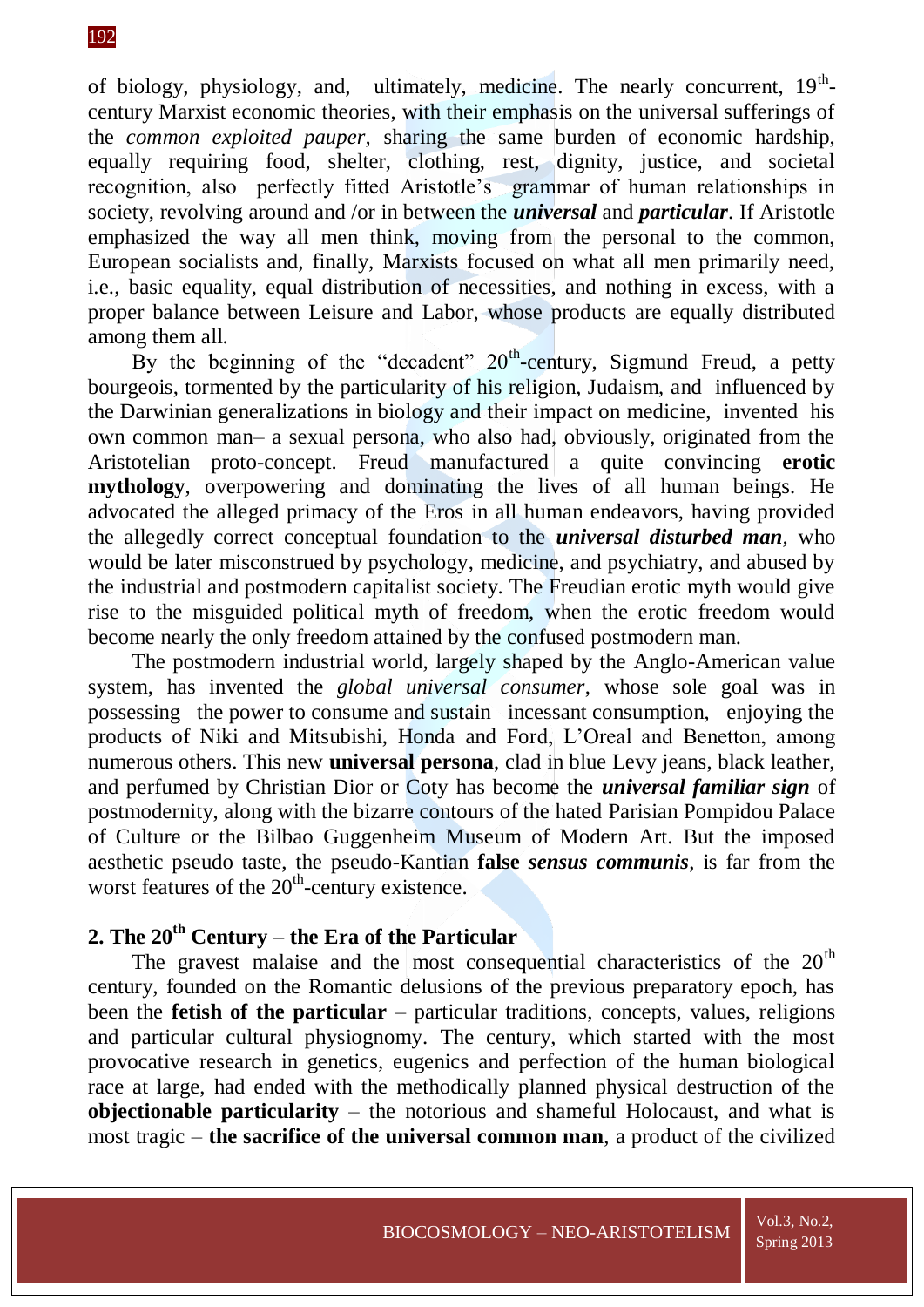of biology, physiology, and, ultimately, medicine. The nearly concurrent,  $19<sup>th</sup>$ century Marxist economic theories, with their emphasis on the universal sufferings of the *common exploited pauper,* sharing the same burden of economic hardship, equally requiring food, shelter, clothing, rest, dignity, justice, and societal recognition, also perfectly fitted Aristotle's grammar of human relationships in society, revolving around and /or in between the *universal* and *particular*. If Aristotle emphasized the way all men think, moving from the personal to the common, European socialists and, finally, Marxists focused on what all men primarily need, i.e., basic equality, equal distribution of necessities, and nothing in excess, with a proper balance between Leisure and Labor, whose products are equally distributed among them all.

By the beginning of the "decadent"  $20<sup>th</sup>$ -century, Sigmund Freud, a petty bourgeois, tormented by the particularity of his religion, Judaism, and influenced by the Darwinian generalizations in biology and their impact on medicine, invented his own common man– a sexual persona, who also had, obviously, originated from the Aristotelian proto-concept. Freud manufactured a quite convincing **erotic mythology**, overpowering and dominating the lives of all human beings. He advocated the alleged primacy of the Eros in all human endeavors, having provided the allegedly correct conceptual foundation to the *universal disturbed man,* who would be later misconstrued by psychology, medicine, and psychiatry, and abused by the industrial and postmodern capitalist society. The Freudian erotic myth would give rise to the misguided political myth of freedom, when the erotic freedom would become nearly the only freedom attained by the confused postmodern man.

The postmodern industrial world, largely shaped by the Anglo-American value system, has invented the *global universal consumer*, whose sole goal was in possessing the power to consume and sustain incessant consumption, enjoying the products of Niki and Mitsubishi, Honda and Ford, L'Oreal and Benetton, among numerous others. This new **universal persona**, clad in blue Levy jeans, black leather, and perfumed by Christian Dior or Coty has become the *universal familiar sign* of postmodernity, along with the bizarre contours of the hated Parisian Pompidou Palace of Culture or the Bilbao Guggenheim Museum of Modern Art. But the imposed aesthetic pseudo taste, the pseudo-Kantian **false** *sensus communis*, is far from the worst features of the 20<sup>th</sup>-century existence.

# **2. The 20th Century** – **the Era of the Particular**

The gravest malaise and the most consequential characteristics of the  $20<sup>th</sup>$ century, founded on the Romantic delusions of the previous preparatory epoch, has been the **fetish of the particular** – particular traditions, concepts, values, religions and particular cultural physiognomy. The century, which started with the most provocative research in genetics, eugenics and perfection of the human biological race at large, had ended with the methodically planned physical destruction of the **objectionable particularity** – the notorious and shameful Holocaust, and what is most tragic – **the sacrifice of the universal common man**, a product of the civilized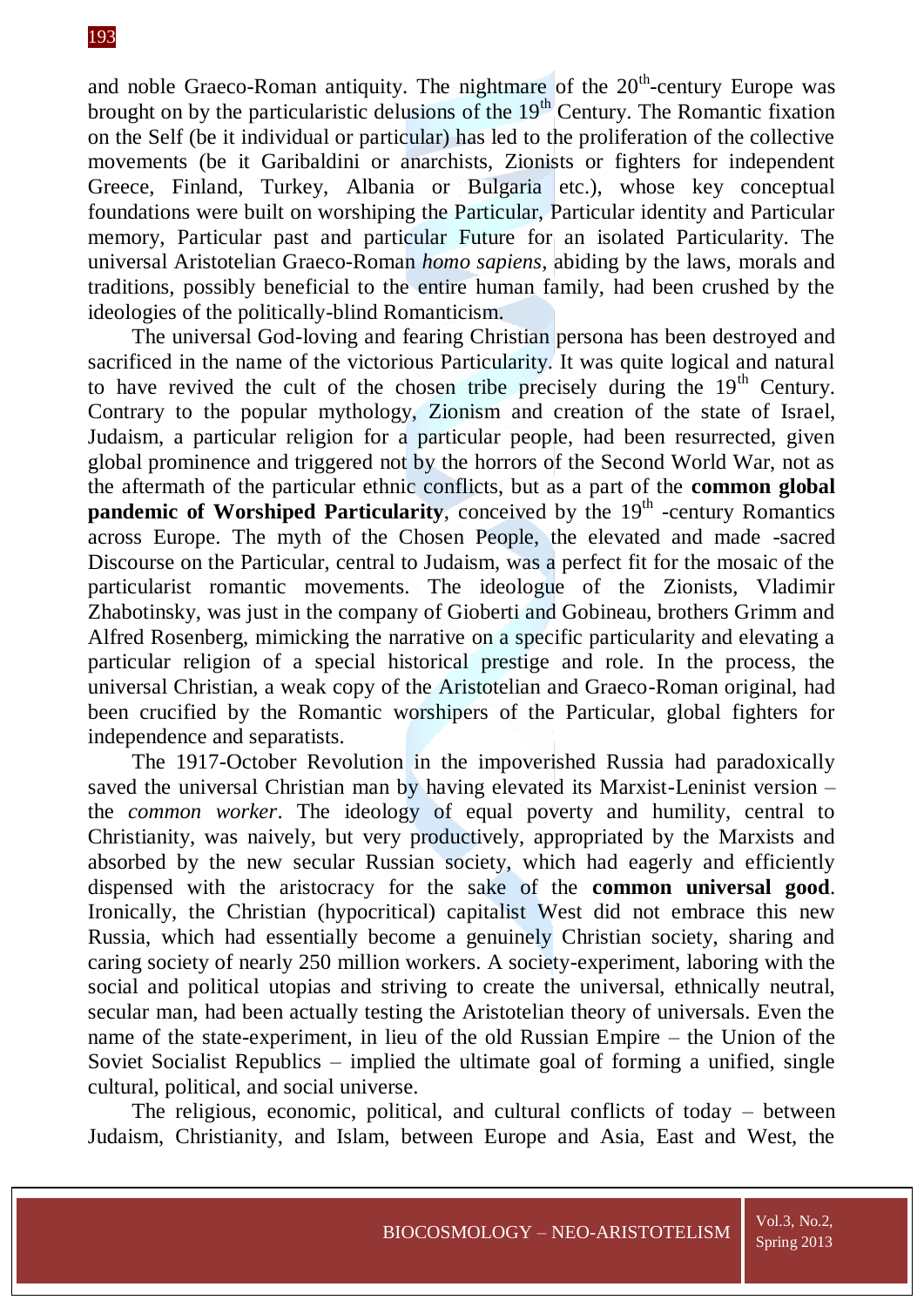and noble Graeco-Roman antiquity. The nightmare of the  $20<sup>th</sup>$ -century Europe was brought on by the particularistic delusions of the  $19<sup>th</sup>$  Century. The Romantic fixation on the Self (be it individual or particular) has led to the proliferation of the collective movements (be it Garibaldini or anarchists, Zionists or fighters for independent Greece, Finland, Turkey, Albania or Bulgaria etc.), whose key conceptual foundations were built on worshiping the Particular, Particular identity and Particular memory, Particular past and particular Future for an isolated Particularity. The universal Aristotelian Graeco-Roman *homo sapiens*, abiding by the laws, morals and traditions, possibly beneficial to the entire human family, had been crushed by the ideologies of the politically-blind Romanticism.

The universal God-loving and fearing Christian persona has been destroyed and sacrificed in the name of the victorious Particularity. It was quite logical and natural to have revived the cult of the chosen tribe precisely during the  $19<sup>th</sup>$  Century. Contrary to the popular mythology, Zionism and creation of the state of Israel, Judaism, a particular religion for a particular people, had been resurrected, given global prominence and triggered not by the horrors of the Second World War, not as the aftermath of the particular ethnic conflicts, but as a part of the **common global**  pandemic of Worshiped Particularity, conceived by the 19<sup>th</sup> -century Romantics across Europe. The myth of the Chosen People, the elevated and made -sacred Discourse on the Particular, central to Judaism, was a perfect fit for the mosaic of the particularist romantic movements. The ideologue of the Zionists, Vladimir Zhabotinsky, was just in the company of Gioberti and Gobineau, brothers Grimm and Alfred Rosenberg, mimicking the narrative on a specific particularity and elevating a particular religion of a special historical prestige and role. In the process, the universal Christian, a weak copy of the Aristotelian and Graeco-Roman original, had been crucified by the Romantic worshipers of the Particular, global fighters for independence and separatists.

The 1917-October Revolution in the impoverished Russia had paradoxically saved the universal Christian man by having elevated its Marxist-Leninist version – the *common worker*. The ideology of equal poverty and humility, central to Christianity, was naively, but very productively, appropriated by the Marxists and absorbed by the new secular Russian society, which had eagerly and efficiently dispensed with the aristocracy for the sake of the **common universal good**. Ironically, the Christian (hypocritical) capitalist West did not embrace this new Russia, which had essentially become a genuinely Christian society, sharing and caring society of nearly 250 million workers. A society-experiment, laboring with the social and political utopias and striving to create the universal, ethnically neutral, secular man, had been actually testing the Aristotelian theory of universals. Even the name of the state-experiment, in lieu of the old Russian Empire – the Union of the Soviet Socialist Republics – implied the ultimate goal of forming a unified, single cultural, political, and social universe.

The religious, economic, political, and cultural conflicts of today – between Judaism, Christianity, and Islam, between Europe and Asia, East and West, the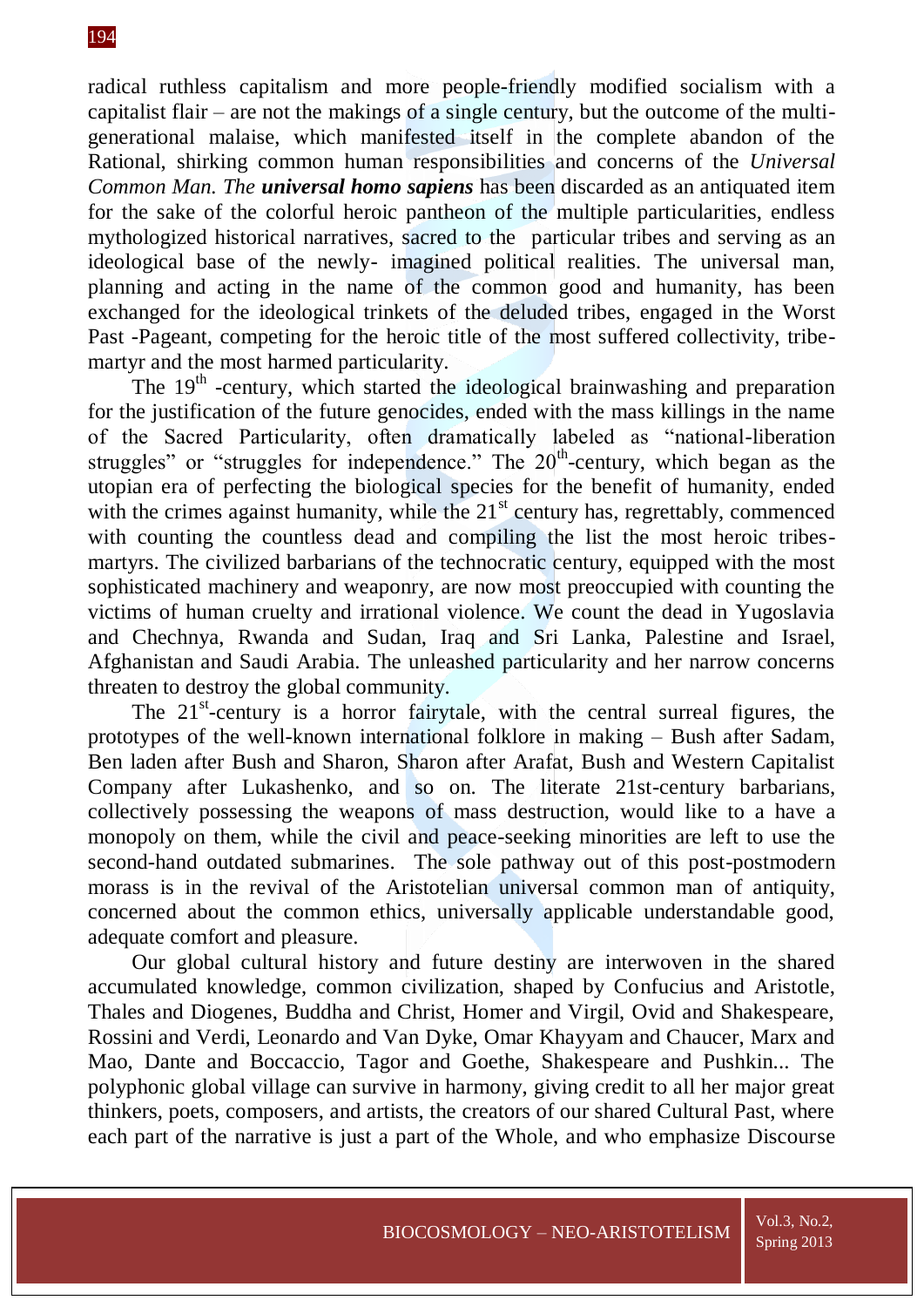#### 194

radical ruthless capitalism and more people-friendly modified socialism with a capitalist flair – are not the makings of a single century, but the outcome of the multigenerational malaise, which manifested itself in the complete abandon of the Rational, shirking common human responsibilities and concerns of the *Universal Common Man. The universal homo sapiens* has been discarded as an antiquated item for the sake of the colorful heroic pantheon of the multiple particularities, endless mythologized historical narratives, sacred to the particular tribes and serving as an ideological base of the newly- imagined political realities. The universal man, planning and acting in the name of the common good and humanity, has been exchanged for the ideological trinkets of the deluded tribes, engaged in the Worst Past -Pageant, competing for the heroic title of the most suffered collectivity, tribemartyr and the most harmed particularity.

The 19<sup>th</sup> -century, which started the ideological brainwashing and preparation for the justification of the future genocides, ended with the mass killings in the name of the Sacred Particularity, often dramatically labeled as "national-liberation struggles" or "struggles for independence." The  $20<sup>th</sup>$ -century, which began as the utopian era of perfecting the biological species for the benefit of humanity, ended with the crimes against humanity, while the  $21<sup>st</sup>$  century has, regrettably, commenced with counting the countless dead and compiling the list the most heroic tribesmartyrs. The civilized barbarians of the technocratic century, equipped with the most sophisticated machinery and weaponry, are now most preoccupied with counting the victims of human cruelty and irrational violence. We count the dead in Yugoslavia and Chechnya, Rwanda and Sudan, Iraq and Sri Lanka, Palestine and Israel, Afghanistan and Saudi Arabia. The unleashed particularity and her narrow concerns threaten to destroy the global community.

The 21<sup>st</sup>-century is a horror fairytale, with the central surreal figures, the prototypes of the well-known international folklore in making – Bush after Sadam, Ben laden after Bush and Sharon, Sharon after Arafat, Bush and Western Capitalist Company after Lukashenko, and so on. The literate 21st-century barbarians, collectively possessing the weapons of mass destruction, would like to a have a monopoly on them, while the civil and peace-seeking minorities are left to use the second-hand outdated submarines. The sole pathway out of this post-postmodern morass is in the revival of the Aristotelian universal common man of antiquity, concerned about the common ethics, universally applicable understandable good, adequate comfort and pleasure.

Our global cultural history and future destiny are interwoven in the shared accumulated knowledge, common civilization, shaped by Confucius and Aristotle, Thales and Diogenes, Buddha and Christ, Homer and Virgil, Ovid and Shakespeare, Rossini and Verdi, Leonardo and Van Dyke, Omar Khayyam and Chaucer, Marx and Mao, Dante and Boccaccio, Tagor and Goethe, Shakespeare and Pushkin... The polyphonic global village can survive in harmony, giving credit to all her major great thinkers, poets, composers, and artists, the creators of our shared Cultural Past, where each part of the narrative is just a part of the Whole, and who emphasize Discourse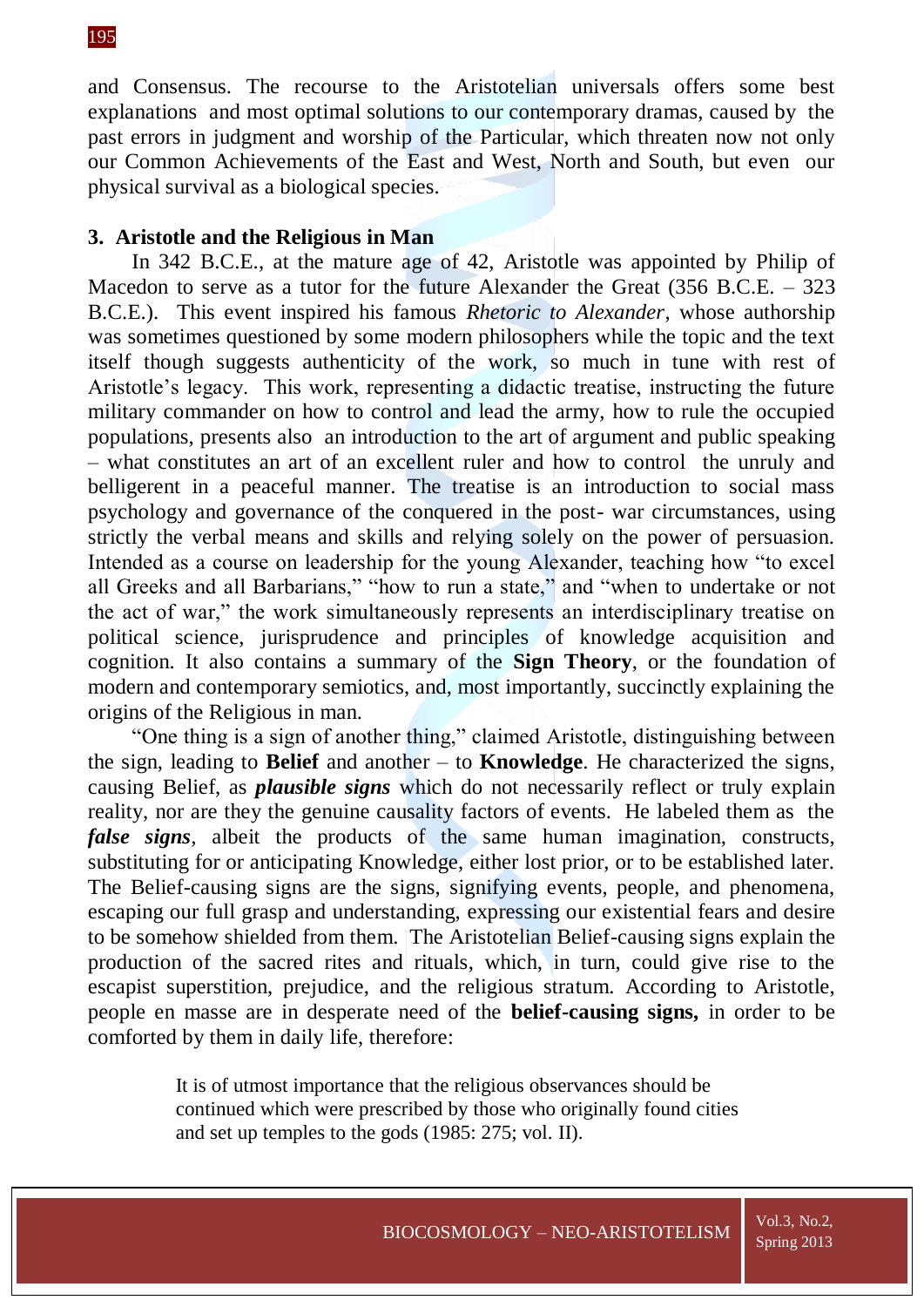and Consensus. The recourse to the Aristotelian universals offers some best explanations and most optimal solutions to our contemporary dramas, caused by the past errors in judgment and worship of the Particular, which threaten now not only our Common Achievements of the East and West, North and South, but even our physical survival as a biological species.

#### **3. Aristotle and the Religious in Man**

In 342 B.C.E., at the mature age of 42, Aristotle was appointed by Philip of Macedon to serve as a tutor for the future Alexander the Great (356 B.C.E. – 323 B.C.E.). This event inspired his famous *Rhetoric to Alexander*, whose authorship was sometimes questioned by some modern philosophers while the topic and the text itself though suggests authenticity of the work, so much in tune with rest of Aristotle's legacy. This work, representing a didactic treatise, instructing the future military commander on how to control and lead the army, how to rule the occupied populations, presents also an introduction to the art of argument and public speaking – what constitutes an art of an excellent ruler and how to control the unruly and belligerent in a peaceful manner. The treatise is an introduction to social mass psychology and governance of the conquered in the post- war circumstances, using strictly the verbal means and skills and relying solely on the power of persuasion. Intended as a course on leadership for the young Alexander, teaching how "to excel all Greeks and all Barbarians," "how to run a state," and "when to undertake or not the act of war," the work simultaneously represents an interdisciplinary treatise on political science, jurisprudence and principles of knowledge acquisition and cognition. It also contains a summary of the **Sign Theory**, or the foundation of modern and contemporary semiotics, and, most importantly, succinctly explaining the origins of the Religious in man.

"One thing is a sign of another thing," claimed Aristotle, distinguishing between the sign, leading to **Belief** and another – to **Knowledge**. He characterized the signs, causing Belief, as *plausible signs* which do not necessarily reflect or truly explain reality, nor are they the genuine causality factors of events. He labeled them as the *false signs*, albeit the products of the same human imagination, constructs, substituting for or anticipating Knowledge, either lost prior, or to be established later. The Belief-causing signs are the signs, signifying events, people, and phenomena, escaping our full grasp and understanding, expressing our existential fears and desire to be somehow shielded from them. The Aristotelian Belief-causing signs explain the production of the sacred rites and rituals, which, in turn, could give rise to the escapist superstition, prejudice, and the religious stratum. According to Aristotle, people en masse are in desperate need of the **belief-causing signs,** in order to be comforted by them in daily life, therefore:

> It is of utmost importance that the religious observances should be continued which were prescribed by those who originally found cities and set up temples to the gods (1985: 275; vol. II).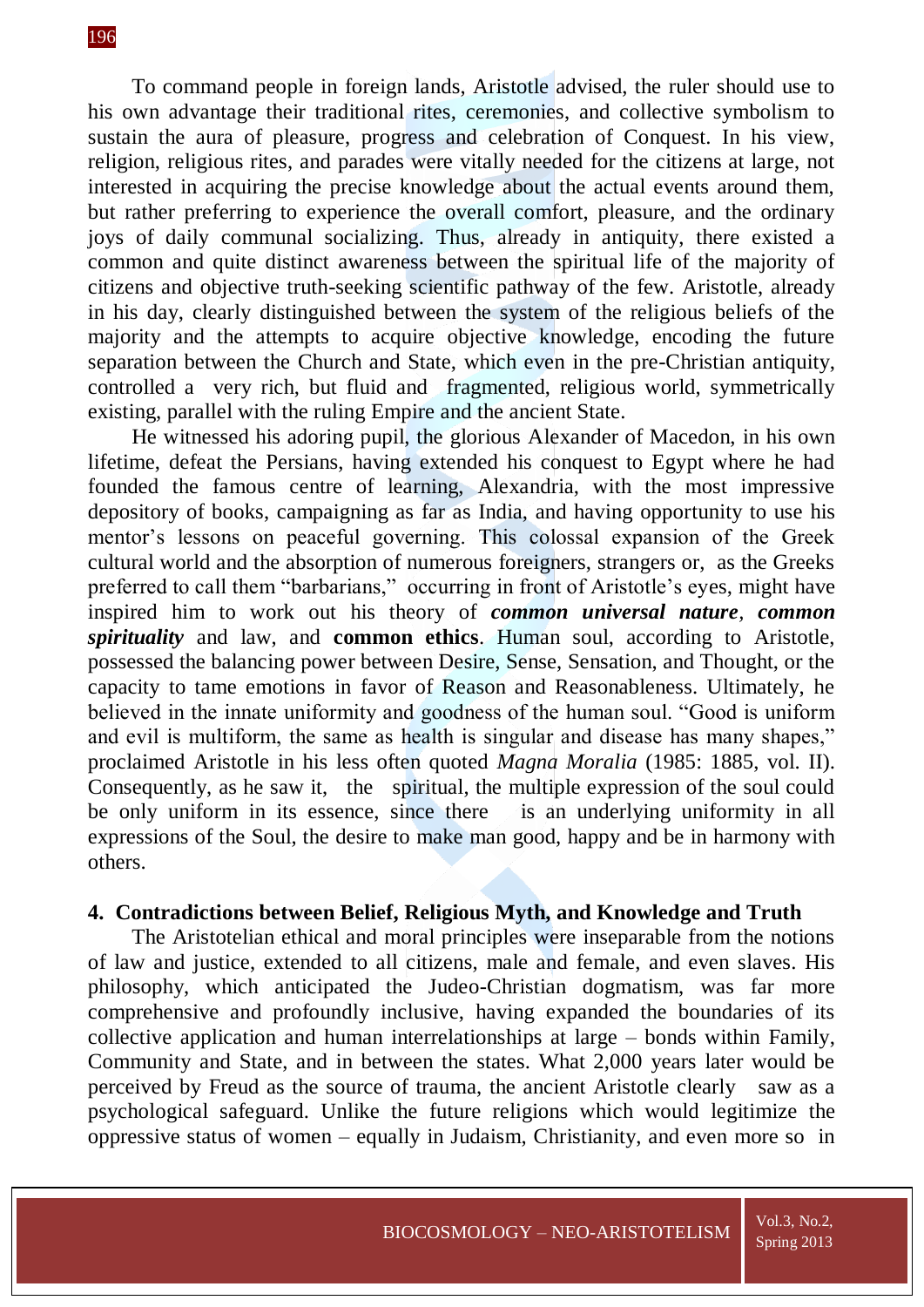To command people in foreign lands, Aristotle advised, the ruler should use to his own advantage their traditional rites, ceremonies, and collective symbolism to sustain the aura of pleasure, progress and celebration of Conquest. In his view, religion, religious rites, and parades were vitally needed for the citizens at large, not interested in acquiring the precise knowledge about the actual events around them, but rather preferring to experience the overall comfort, pleasure, and the ordinary joys of daily communal socializing. Thus, already in antiquity, there existed a common and quite distinct awareness between the spiritual life of the majority of citizens and objective truth-seeking scientific pathway of the few. Aristotle, already in his day, clearly distinguished between the system of the religious beliefs of the majority and the attempts to acquire objective knowledge, encoding the future separation between the Church and State, which even in the pre-Christian antiquity, controlled a very rich, but fluid and fragmented, religious world, symmetrically existing, parallel with the ruling Empire and the ancient State.

He witnessed his adoring pupil, the glorious Alexander of Macedon, in his own lifetime, defeat the Persians, having extended his conquest to Egypt where he had founded the famous centre of learning, Alexandria, with the most impressive depository of books, campaigning as far as India, and having opportunity to use his mentor's lessons on peaceful governing. This colossal expansion of the Greek cultural world and the absorption of numerous foreigners, strangers or, as the Greeks preferred to call them "barbarians," occurring in front of Aristotle's eyes, might have inspired him to work out his theory of *common universal nature, common spirituality* and law, and **common ethics**. Human soul, according to Aristotle, possessed the balancing power between Desire, Sense, Sensation, and Thought, or the capacity to tame emotions in favor of Reason and Reasonableness. Ultimately, he believed in the innate uniformity and goodness of the human soul. "Good is uniform and evil is multiform, the same as health is singular and disease has many shapes," proclaimed Aristotle in his less often quoted *Magna Moralia* (1985: 1885, vol. II). Consequently, as he saw it, the spiritual, the multiple expression of the soul could be only uniform in its essence, since there is an underlying uniformity in all expressions of the Soul, the desire to make man good, happy and be in harmony with others.

#### **4. Contradictions between Belief, Religious Myth, and Knowledge and Truth**

The Aristotelian ethical and moral principles were inseparable from the notions of law and justice, extended to all citizens, male and female, and even slaves. His philosophy, which anticipated the Judeo-Christian dogmatism, was far more comprehensive and profoundly inclusive, having expanded the boundaries of its collective application and human interrelationships at large – bonds within Family, Community and State, and in between the states. What 2,000 years later would be perceived by Freud as the source of trauma, the ancient Aristotle clearly saw as a psychological safeguard. Unlike the future religions which would legitimize the oppressive status of women – equally in Judaism, Christianity, and even more so in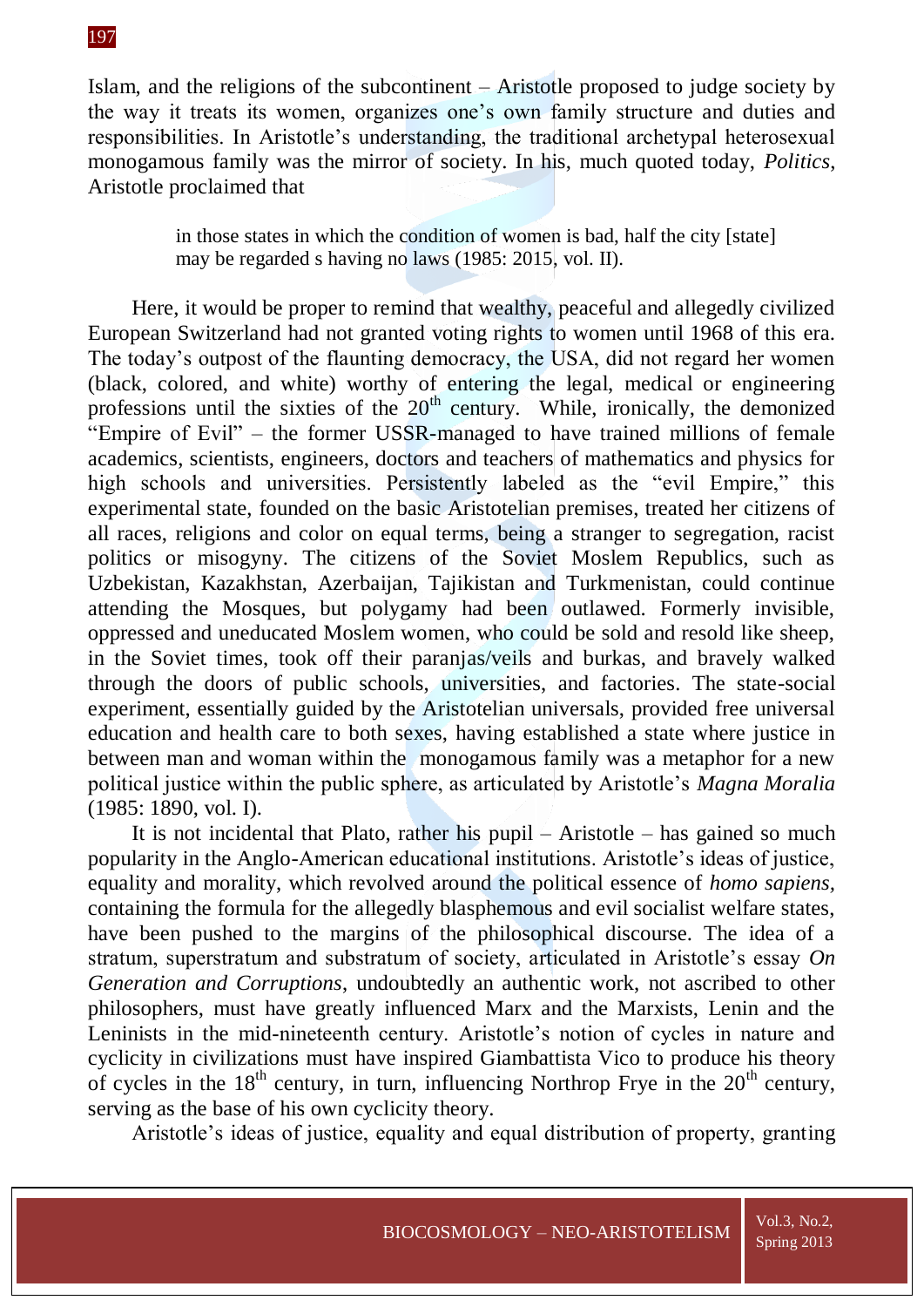Islam, and the religions of the subcontinent – Aristotle proposed to judge society by the way it treats its women, organizes one's own family structure and duties and responsibilities. In Aristotle's understanding, the traditional archetypal heterosexual monogamous family was the mirror of society. In his, much quoted today, *Politics*, Aristotle proclaimed that

> in those states in which the condition of women is bad, half the city [state] may be regarded s having no laws (1985: 2015, vol. II).

Here, it would be proper to remind that wealthy, peaceful and allegedly civilized European Switzerland had not granted voting rights to women until 1968 of this era. The today's outpost of the flaunting democracy, the USA, did not regard her women (black, colored, and white) worthy of entering the legal, medical or engineering professions until the sixties of the  $20<sup>th</sup>$  century. While, ironically, the demonized "Empire of Evil" – the former USSR-managed to have trained millions of female academics, scientists, engineers, doctors and teachers of mathematics and physics for high schools and universities. Persistently labeled as the "evil Empire," this experimental state, founded on the basic Aristotelian premises, treated her citizens of all races, religions and color on equal terms, being a stranger to segregation, racist politics or misogyny. The citizens of the Soviet Moslem Republics, such as Uzbekistan, Kazakhstan, Azerbaijan, Tajikistan and Turkmenistan, could continue attending the Mosques, but polygamy had been outlawed. Formerly invisible, oppressed and uneducated Moslem women, who could be sold and resold like sheep, in the Soviet times, took off their paranjas/veils and burkas, and bravely walked through the doors of public schools, universities, and factories. The state-social experiment, essentially guided by the Aristotelian universals, provided free universal education and health care to both sexes, having established a state where justice in between man and woman within the monogamous family was a metaphor for a new political justice within the public sphere, as articulated by Aristotle's *Magna Moralia* (1985: 1890, vol. I).

It is not incidental that Plato, rather his pupil – Aristotle – has gained so much popularity in the Anglo-American educational institutions. Aristotle's ideas of justice, equality and morality, which revolved around the political essence of *homo sapiens,*  containing the formula for the allegedly blasphemous and evil socialist welfare states, have been pushed to the margins of the philosophical discourse. The idea of a stratum, superstratum and substratum of society, articulated in Aristotle's essay *On Generation and Corruptions*, undoubtedly an authentic work, not ascribed to other philosophers, must have greatly influenced Marx and the Marxists, Lenin and the Leninists in the mid-nineteenth century. Aristotle's notion of cycles in nature and cyclicity in civilizations must have inspired Giambattista Vico to produce his theory of cycles in the  $18<sup>th</sup>$  century, in turn, influencing Northrop Frye in the  $20<sup>th</sup>$  century, serving as the base of his own cyclicity theory.

Aristotle's ideas of justice, equality and equal distribution of property, granting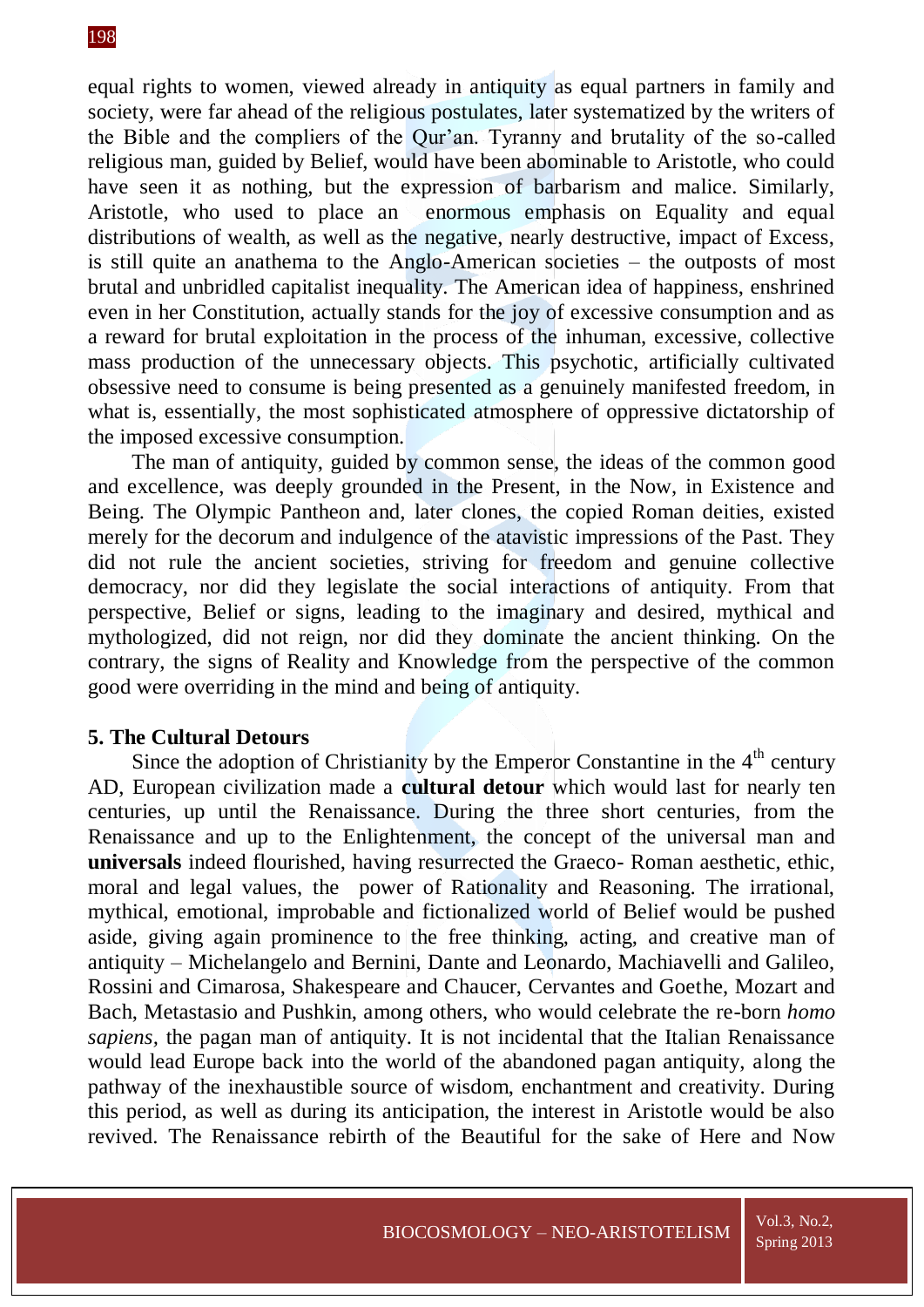equal rights to women, viewed already in antiquity as equal partners in family and society, were far ahead of the religious postulates, later systematized by the writers of the Bible and the compliers of the Qur'an. Tyranny and brutality of the so-called religious man, guided by Belief, would have been abominable to Aristotle, who could have seen it as nothing, but the expression of barbarism and malice. Similarly, Aristotle, who used to place an enormous emphasis on Equality and equal distributions of wealth, as well as the negative, nearly destructive, impact of Excess, is still quite an anathema to the Anglo-American societies – the outposts of most brutal and unbridled capitalist inequality. The American idea of happiness, enshrined even in her Constitution, actually stands for the joy of excessive consumption and as a reward for brutal exploitation in the process of the inhuman, excessive, collective mass production of the unnecessary objects. This psychotic, artificially cultivated obsessive need to consume is being presented as a genuinely manifested freedom, in what is, essentially, the most sophisticated atmosphere of oppressive dictatorship of the imposed excessive consumption.

The man of antiquity, guided by common sense, the ideas of the common good and excellence, was deeply grounded in the Present, in the Now, in Existence and Being. The Olympic Pantheon and, later clones, the copied Roman deities, existed merely for the decorum and indulgence of the atavistic impressions of the Past. They did not rule the ancient societies, striving for freedom and genuine collective democracy, nor did they legislate the social interactions of antiquity. From that perspective, Belief or signs, leading to the imaginary and desired, mythical and mythologized, did not reign, nor did they dominate the ancient thinking. On the contrary, the signs of Reality and Knowledge from the perspective of the common good were overriding in the mind and being of antiquity.

#### **5. The Cultural Detours**

Since the adoption of Christianity by the Emperor Constantine in the  $4<sup>th</sup>$  century AD, European civilization made a **cultural detour** which would last for nearly ten centuries, up until the Renaissance. During the three short centuries, from the Renaissance and up to the Enlightenment, the concept of the universal man and **universals** indeed flourished, having resurrected the Graeco- Roman aesthetic, ethic, moral and legal values, the power of Rationality and Reasoning. The irrational, mythical, emotional, improbable and fictionalized world of Belief would be pushed aside, giving again prominence to the free thinking, acting, and creative man of antiquity – Michelangelo and Bernini, Dante and Leonardo, Machiavelli and Galileo, Rossini and Cimarosa, Shakespeare and Chaucer, Cervantes and Goethe, Mozart and Bach, Metastasio and Pushkin, among others, who would celebrate the re-born *homo sapiens,* the pagan man of antiquity. It is not incidental that the Italian Renaissance would lead Europe back into the world of the abandoned pagan antiquity, along the pathway of the inexhaustible source of wisdom, enchantment and creativity. During this period, as well as during its anticipation, the interest in Aristotle would be also revived. The Renaissance rebirth of the Beautiful for the sake of Here and Now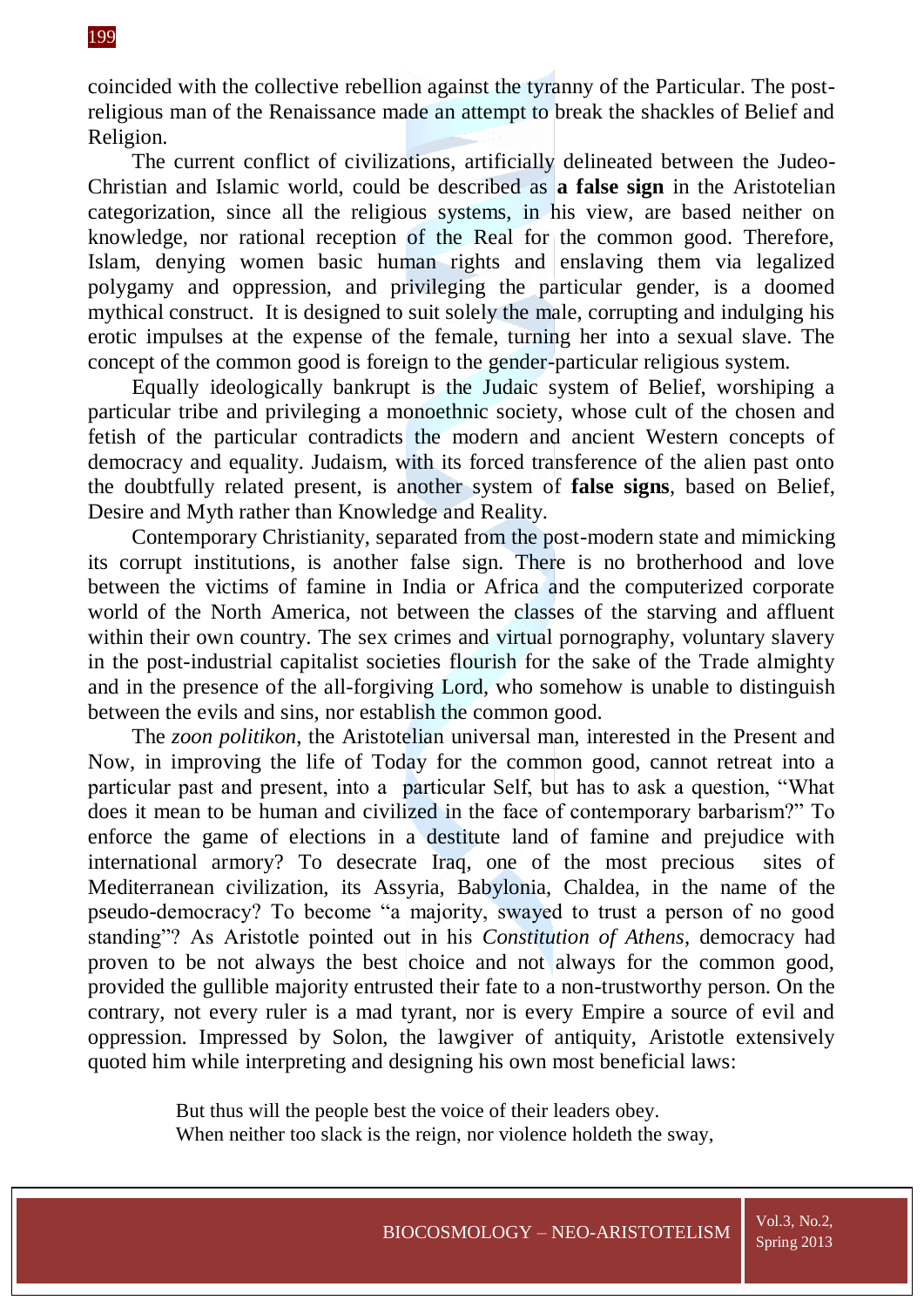coincided with the collective rebellion against the tyranny of the Particular. The postreligious man of the Renaissance made an attempt to break the shackles of Belief and Religion.

The current conflict of civilizations, artificially delineated between the Judeo-Christian and Islamic world, could be described as **a false sign** in the Aristotelian categorization, since all the religious systems, in his view, are based neither on knowledge, nor rational reception of the Real for the common good. Therefore, Islam, denying women basic human rights and enslaving them via legalized polygamy and oppression, and privileging the particular gender, is a doomed mythical construct. It is designed to suit solely the male, corrupting and indulging his erotic impulses at the expense of the female, turning her into a sexual slave. The concept of the common good is foreign to the gender-particular religious system.

Equally ideologically bankrupt is the Judaic system of Belief, worshiping a particular tribe and privileging a monoethnic society, whose cult of the chosen and fetish of the particular contradicts the modern and ancient Western concepts of democracy and equality. Judaism, with its forced transference of the alien past onto the doubtfully related present, is another system of **false signs**, based on Belief, Desire and Myth rather than Knowledge and Reality.

Contemporary Christianity, separated from the post-modern state and mimicking its corrupt institutions, is another false sign. There is no brotherhood and love between the victims of famine in India or Africa and the computerized corporate world of the North America, not between the classes of the starving and affluent within their own country. The sex crimes and virtual pornography, voluntary slavery in the post-industrial capitalist societies flourish for the sake of the Trade almighty and in the presence of the all-forgiving Lord, who somehow is unable to distinguish between the evils and sins, nor establish the common good.

The *zoon politikon*, the Aristotelian universal man, interested in the Present and Now, in improving the life of Today for the common good, cannot retreat into a particular past and present, into a particular Self, but has to ask a question, "What does it mean to be human and civilized in the face of contemporary barbarism?" To enforce the game of elections in a destitute land of famine and prejudice with international armory? To desecrate Iraq, one of the most precious sites of Mediterranean civilization, its Assyria, Babylonia, Chaldea, in the name of the pseudo-democracy? To become "a majority, swayed to trust a person of no good standing"? As Aristotle pointed out in his *Constitution of Athens*, democracy had proven to be not always the best choice and not always for the common good, provided the gullible majority entrusted their fate to a non-trustworthy person. On the contrary, not every ruler is a mad tyrant, nor is every Empire a source of evil and oppression. Impressed by Solon, the lawgiver of antiquity, Aristotle extensively quoted him while interpreting and designing his own most beneficial laws:

> But thus will the people best the voice of their leaders obey. When neither too slack is the reign, nor violence holdeth the sway,